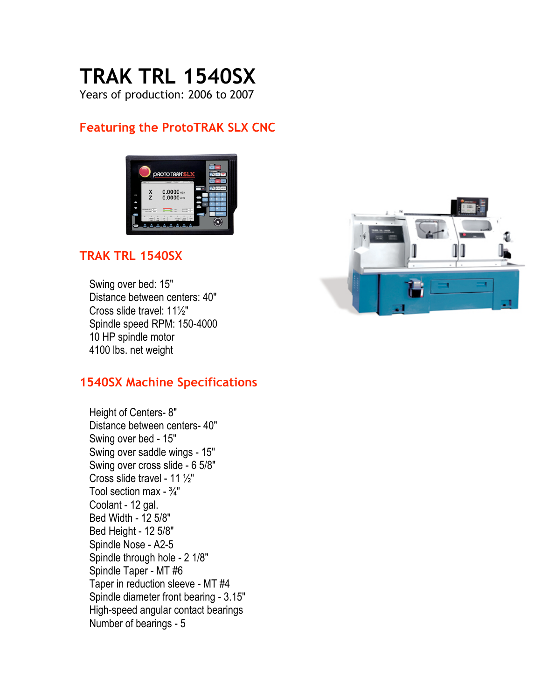# **TRAK TRL 1540SX**

Years of production: 2006 to 2007

## **Featuring the ProtoTRAK SLX CNC**



### **TRAK TRL 1540SX**

Swing over bed: 15" Distance between centers: 40" Cross slide travel: 11½" Spindle speed RPM: 150-4000 10 HP spindle motor 4100 lbs. net weight

#### **1540SX Machine Specifications**

Height of Centers- 8" Distance between centers- 40" Swing over bed - 15" Swing over saddle wings - 15" Swing over cross slide - 6 5/8" Cross slide travel - 11 ½" Tool section max -  $\frac{3}{4}$ " Coolant - 12 gal. Bed Width - 12 5/8" Bed Height - 12 5/8" Spindle Nose - A2-5 Spindle through hole - 2 1/8" Spindle Taper - MT #6 Taper in reduction sleeve - MT #4 Spindle diameter front bearing - 3.15" High-speed angular contact bearings Number of bearings - 5